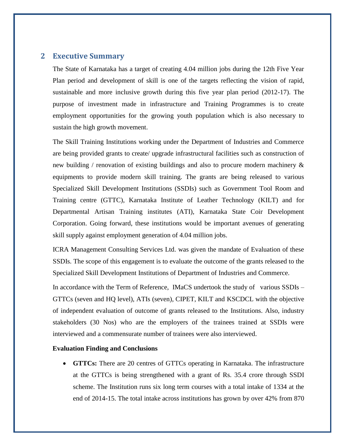# **2 Executive Summary**

The State of Karnataka has a target of creating 4.04 million jobs during the 12th Five Year Plan period and development of skill is one of the targets reflecting the vision of rapid, sustainable and more inclusive growth during this five year plan period (2012-17). The purpose of investment made in infrastructure and Training Programmes is to create employment opportunities for the growing youth population which is also necessary to sustain the high growth movement.

The Skill Training Institutions working under the Department of Industries and Commerce are being provided grants to create/ upgrade infrastructural facilities such as construction of new building / renovation of existing buildings and also to procure modern machinery & equipments to provide modern skill training. The grants are being released to various Specialized Skill Development Institutions (SSDIs) such as Government Tool Room and Training centre (GTTC), Karnataka Institute of Leather Technology (KILT) and for Departmental Artisan Training institutes (ATI), Karnataka State Coir Development Corporation. Going forward, these institutions would be important avenues of generating skill supply against employment generation of 4.04 million jobs.

ICRA Management Consulting Services Ltd. was given the mandate of Evaluation of these SSDIs. The scope of this engagement is to evaluate the outcome of the grants released to the Specialized Skill Development Institutions of Department of Industries and Commerce.

In accordance with the Term of Reference, IMaCS undertook the study of various SSDIs – GTTCs (seven and HQ level), ATIs (seven), CIPET, KILT and KSCDCL with the objective of independent evaluation of outcome of grants released to the Institutions. Also, industry stakeholders (30 Nos) who are the employers of the trainees trained at SSDIs were interviewed and a commensurate number of trainees were also interviewed.

#### **Evaluation Finding and Conclusions**

 **GTTCs:** There are 20 centres of GTTCs operating in Karnataka. The infrastructure at the GTTCs is being strengthened with a grant of Rs. 35.4 crore through SSDI scheme. The Institution runs six long term courses with a total intake of 1334 at the end of 2014-15. The total intake across institutions has grown by over 42% from 870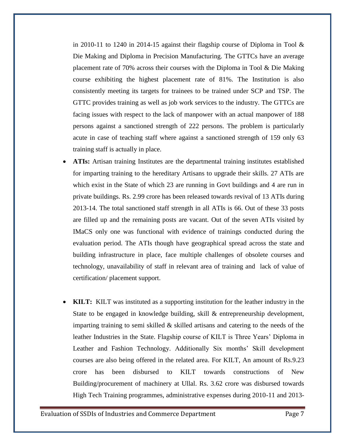in 2010-11 to 1240 in 2014-15 against their flagship course of Diploma in Tool  $\&$ Die Making and Diploma in Precision Manufacturing. The GTTCs have an average placement rate of 70% across their courses with the Diploma in Tool & Die Making course exhibiting the highest placement rate of 81%. The Institution is also consistently meeting its targets for trainees to be trained under SCP and TSP. The GTTC provides training as well as job work services to the industry. The GTTCs are facing issues with respect to the lack of manpower with an actual manpower of 188 persons against a sanctioned strength of 222 persons. The problem is particularly acute in case of teaching staff where against a sanctioned strength of 159 only 63 training staff is actually in place.

- **ATIs:** Artisan training Institutes are the departmental training institutes established for imparting training to the hereditary Artisans to upgrade their skills. 27 ATIs are which exist in the State of which 23 are running in Govt buildings and 4 are run in private buildings. Rs. 2.99 crore has been released towards revival of 13 ATIs during 2013-14. The total sanctioned staff strength in all ATIs is 66. Out of these 33 posts are filled up and the remaining posts are vacant. Out of the seven ATIs visited by IMaCS only one was functional with evidence of trainings conducted during the evaluation period. The ATIs though have geographical spread across the state and building infrastructure in place, face multiple challenges of obsolete courses and technology, unavailability of staff in relevant area of training and lack of value of certification/ placement support.
- **KILT:** KILT was instituted as a supporting institution for the leather industry in the State to be engaged in knowledge building, skill & entrepreneurship development, imparting training to semi skilled  $\&$  skilled artisans and catering to the needs of the leather Industries in the State. Flagship course of KILT is Three Years' Diploma in Leather and Fashion Technology. Additionally Six months' Skill development courses are also being offered in the related area. For KILT, An amount of Rs.9.23 crore has been disbursed to KILT towards constructions of New Building/procurement of machinery at Ullal. Rs. 3.62 crore was disbursed towards High Tech Training programmes, administrative expenses during 2010-11 and 2013-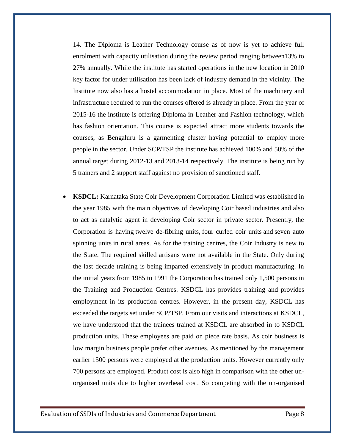14. The Diploma is Leather Technology course as of now is yet to achieve full enrolment with capacity utilisation during the review period ranging between13% to 27% annually**.** While the institute has started operations in the new location in 2010 key factor for under utilisation has been lack of industry demand in the vicinity. The Institute now also has a hostel accommodation in place. Most of the machinery and infrastructure required to run the courses offered is already in place. From the year of 2015-16 the institute is offering Diploma in Leather and Fashion technology, which has fashion orientation. This course is expected attract more students towards the courses, as Bengaluru is a garmenting cluster having potential to employ more people in the sector. Under SCP/TSP the institute has achieved 100% and 50% of the annual target during 2012-13 and 2013-14 respectively. The institute is being run by 5 trainers and 2 support staff against no provision of sanctioned staff.

 **KSDCL:** Karnataka State Coir Development Corporation Limited was established in the year 1985 with the main objectives of developing Coir based industries and also to act as catalytic agent in developing Coir sector in private sector. Presently, the Corporation is having twelve de-fibring units, four curled coir units and seven auto spinning units in rural areas. As for the training centres, the Coir Industry is new to the State. The required skilled artisans were not available in the State. Only during the last decade training is being imparted extensively in product manufacturing. In the initial years from 1985 to 1991 the Corporation has trained only 1,500 persons in the Training and Production Centres. KSDCL has provides training and provides employment in its production centres. However, in the present day, KSDCL has exceeded the targets set under SCP/TSP. From our visits and interactions at KSDCL, we have understood that the trainees trained at KSDCL are absorbed in to KSDCL production units. These employees are paid on piece rate basis. As coir business is low margin business people prefer other avenues. As mentioned by the management earlier 1500 persons were employed at the production units. However currently only 700 persons are employed. Product cost is also high in comparison with the other unorganised units due to higher overhead cost. So competing with the un-organised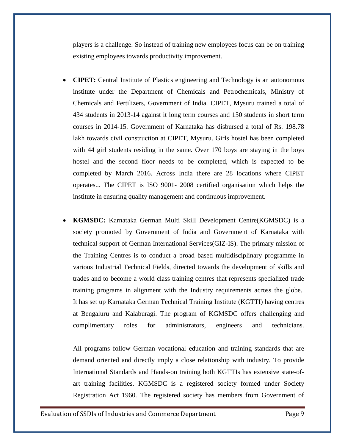players is a challenge. So instead of training new employees focus can be on training existing employees towards productivity improvement.

- **CIPET:** Central Institute of Plastics engineering and Technology is an autonomous institute under the Department of Chemicals and Petrochemicals, Ministry of Chemicals and Fertilizers, Government of India. CIPET, Mysuru trained a total of 434 students in 2013-14 against it long term courses and 150 students in short term courses in 2014-15. Government of Karnataka has disbursed a total of Rs. 198.78 lakh towards civil construction at CIPET, Mysuru. Girls hostel has been completed with 44 girl students residing in the same. Over 170 boys are staying in the boys hostel and the second floor needs to be completed, which is expected to be completed by March 2016. Across India there are 28 locations where CIPET operates... The CIPET is ISO 9001- 2008 certified organisation which helps the institute in ensuring quality management and continuous improvement.
- **KGMSDC:** Karnataka German Multi Skill Development Centre(KGMSDC) is a society promoted by Government of India and Government of Karnataka with technical support of German International Services(GIZ-IS). The primary mission of the Training Centres is to conduct a broad based multidisciplinary programme in various Industrial Technical Fields, directed towards the development of skills and trades and to become a world class training centres that represents specialized trade training programs in alignment with the Industry requirements across the globe. It has set up Karnataka German Technical Training Institute (KGTTI) having centres at Bengaluru and Kalaburagi. The program of KGMSDC offers challenging and complimentary roles for administrators, engineers and technicians.

All programs follow German vocational education and training standards that are demand oriented and directly imply a close relationship with industry. To provide International Standards and Hands-on training both KGTTIs has extensive state-ofart training facilities. KGMSDC is a registered society formed under Society Registration Act 1960. The registered society has members from Government of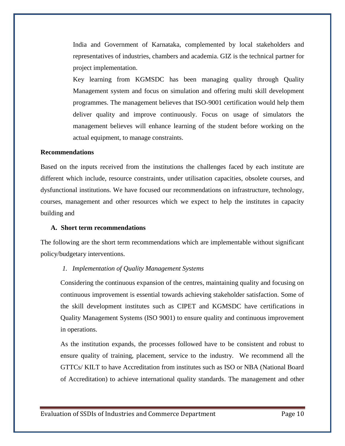India and Government of Karnataka, complemented by local stakeholders and representatives of industries, chambers and academia. GIZ is the technical partner for project implementation.

Key learning from KGMSDC has been managing quality through Quality Management system and focus on simulation and offering multi skill development programmes. The management believes that ISO-9001 certification would help them deliver quality and improve continuously. Focus on usage of simulators the management believes will enhance learning of the student before working on the actual equipment, to manage constraints.

#### **Recommendations**

Based on the inputs received from the institutions the challenges faced by each institute are different which include, resource constraints, under utilisation capacities, obsolete courses, and dysfunctional institutions. We have focused our recommendations on infrastructure, technology, courses, management and other resources which we expect to help the institutes in capacity building and

#### **A. Short term recommendations**

The following are the short term recommendations which are implementable without significant policy/budgetary interventions.

#### *1. Implementation of Quality Management Systems*

Considering the continuous expansion of the centres, maintaining quality and focusing on continuous improvement is essential towards achieving stakeholder satisfaction. Some of the skill development institutes such as CIPET and KGMSDC have certifications in Quality Management Systems (ISO 9001) to ensure quality and continuous improvement in operations.

As the institution expands, the processes followed have to be consistent and robust to ensure quality of training, placement, service to the industry. We recommend all the GTTCs/ KILT to have Accreditation from institutes such as ISO or NBA (National Board of Accreditation) to achieve international quality standards. The management and other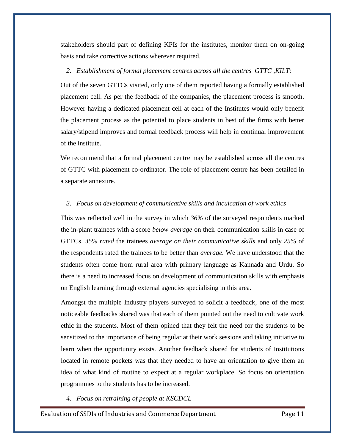stakeholders should part of defining KPIs for the institutes, monitor them on on-going basis and take corrective actions wherever required.

# *2. Establishment of formal placement centres across all the centres GTTC ,KILT:*

Out of the seven GTTCs visited, only one of them reported having a formally established placement cell. As per the feedback of the companies, the placement process is smooth. However having a dedicated placement cell at each of the Institutes would only benefit the placement process as the potential to place students in best of the firms with better salary/stipend improves and formal feedback process will help in continual improvement of the institute.

We recommend that a formal placement centre may be established across all the centres of GTTC with placement co-ordinator. The role of placement centre has been detailed in a separate annexure.

### *3. Focus on development of communicative skills and inculcation of work ethics*

This was reflected well in the survey in which *36%* of the surveyed respondents marked the in-plant trainees with a score *below average* on their communication skills in case of GTTCs. *35% rated* the trainees *average on their communicative skills* and only *25%* of the respondents rated the trainees to be better than *average.* We have understood that the students often come from rural area with primary language as Kannada and Urdu. So there is a need to increased focus on development of communication skills with emphasis on English learning through external agencies specialising in this area.

Amongst the multiple Industry players surveyed to solicit a feedback, one of the most noticeable feedbacks shared was that each of them pointed out the need to cultivate work ethic in the students. Most of them opined that they felt the need for the students to be sensitized to the importance of being regular at their work sessions and taking initiative to learn when the opportunity exists. Another feedback shared for students of Institutions located in remote pockets was that they needed to have an orientation to give them an idea of what kind of routine to expect at a regular workplace. So focus on orientation programmes to the students has to be increased.

*4. Focus on retraining of people at KSCDCL*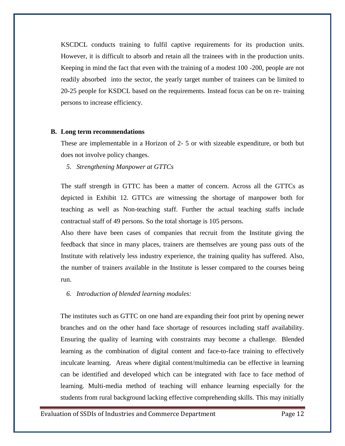KSCDCL conducts training to fulfil captive requirements for its production units. However, it is difficult to absorb and retain all the trainees with in the production units. Keeping in mind the fact that even with the training of a modest 100 -200, people are not readily absorbed into the sector, the yearly target number of trainees can be limited to 20-25 people for KSDCL based on the requirements. Instead focus can be on re- training persons to increase efficiency.

#### **B. Long term recommendations**

These are implementable in a Horizon of 2- 5 or with sizeable expenditure, or both but does not involve policy changes.

*5. Strengthening Manpower at GTTCs*

The staff strength in GTTC has been a matter of concern. Across all the GTTCs as depicted in Exhibit 12. GTTCs are witnessing the shortage of manpower both for teaching as well as Non-teaching staff. Further the actual teaching staffs include contractual staff of 49 persons. So the total shortage is 105 persons.

Also there have been cases of companies that recruit from the Institute giving the feedback that since in many places, trainers are themselves are young pass outs of the Institute with relatively less industry experience, the training quality has suffered. Also, the number of trainers available in the Institute is lesser compared to the courses being run.

# *6. Introduction of blended learning modules:*

The institutes such as GTTC on one hand are expanding their foot print by opening newer branches and on the other hand face shortage of resources including staff availability. Ensuring the quality of learning with constraints may become a challenge. Blended learning as the combination of digital content and face-to-face training to effectively inculcate learning. Areas where digital content/multimedia can be effective in learning can be identified and developed which can be integrated with face to face method of learning. Multi-media method of teaching will enhance learning especially for the students from rural background lacking effective comprehending skills. This may initially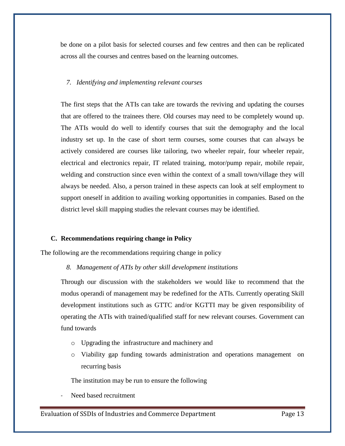be done on a pilot basis for selected courses and few centres and then can be replicated across all the courses and centres based on the learning outcomes.

#### *7. Identifying and implementing relevant courses*

The first steps that the ATIs can take are towards the reviving and updating the courses that are offered to the trainees there. Old courses may need to be completely wound up. The ATIs would do well to identify courses that suit the demography and the local industry set up. In the case of short term courses, some courses that can always be actively considered are courses like tailoring, two wheeler repair, four wheeler repair, electrical and electronics repair, IT related training, motor/pump repair, mobile repair, welding and construction since even within the context of a small town/village they will always be needed. Also, a person trained in these aspects can look at self employment to support oneself in addition to availing working opportunities in companies. Based on the district level skill mapping studies the relevant courses may be identified.

### **C. Recommendations requiring change in Policy**

The following are the recommendations requiring change in policy

*8. Management of ATIs by other skill development institutions*

Through our discussion with the stakeholders we would like to recommend that the modus operandi of management may be redefined for the ATIs. Currently operating Skill development institutions such as GTTC and/or KGTTI may be given responsibility of operating the ATIs with trained/qualified staff for new relevant courses. Government can fund towards

- o Upgrading the infrastructure and machinery and
- o Viability gap funding towards administration and operations management on recurring basis

The institution may be run to ensure the following

Need based recruitment

Evaluation of SSDIs of Industries and Commerce Department Page 13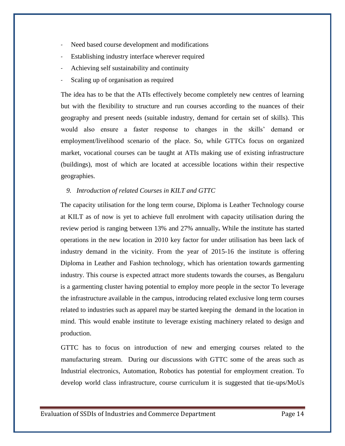- Need based course development and modifications
- Establishing industry interface wherever required
- Achieving self sustainability and continuity
- Scaling up of organisation as required

The idea has to be that the ATIs effectively become completely new centres of learning but with the flexibility to structure and run courses according to the nuances of their geography and present needs (suitable industry, demand for certain set of skills). This would also ensure a faster response to changes in the skills' demand or employment/livelihood scenario of the place. So, while GTTCs focus on organized market, vocational courses can be taught at ATIs making use of existing infrastructure (buildings), most of which are located at accessible locations within their respective geographies.

# *9. Introduction of related Courses in KILT and GTTC*

The capacity utilisation for the long term course, Diploma is Leather Technology course at KILT as of now is yet to achieve full enrolment with capacity utilisation during the review period is ranging between 13% and 27% annually**.** While the institute has started operations in the new location in 2010 key factor for under utilisation has been lack of industry demand in the vicinity. From the year of 2015-16 the institute is offering Diploma in Leather and Fashion technology, which has orientation towards garmenting industry. This course is expected attract more students towards the courses, as Bengaluru is a garmenting cluster having potential to employ more people in the sector To leverage the infrastructure available in the campus, introducing related exclusive long term courses related to industries such as apparel may be started keeping the demand in the location in mind. This would enable institute to leverage existing machinery related to design and production.

GTTC has to focus on introduction of new and emerging courses related to the manufacturing stream. During our discussions with GTTC some of the areas such as Industrial electronics, Automation, Robotics has potential for employment creation. To develop world class infrastructure, course curriculum it is suggested that tie-ups/MoUs